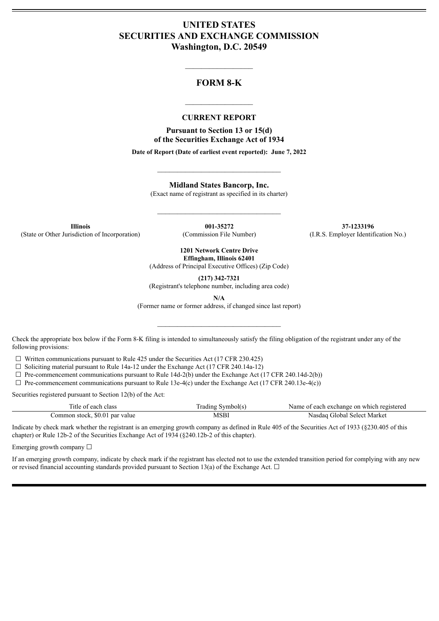# **UNITED STATES SECURITIES AND EXCHANGE COMMISSION Washington, D.C. 20549**

# **FORM 8-K**

 $\mathcal{L}_\text{max}$  and  $\mathcal{L}_\text{max}$  and  $\mathcal{L}_\text{max}$ 

#### **CURRENT REPORT**

 $\frac{1}{2}$  ,  $\frac{1}{2}$  ,  $\frac{1}{2}$  ,  $\frac{1}{2}$  ,  $\frac{1}{2}$  ,  $\frac{1}{2}$  ,  $\frac{1}{2}$ 

**Pursuant to Section 13 or 15(d) of the Securities Exchange Act of 1934**

**Date of Report (Date of earliest event reported): June 7, 2022**

 $\_$ 

**Midland States Bancorp, Inc.**

(Exact name of registrant as specified in its charter)

 $\mathcal{L}_\text{max}$  and  $\mathcal{L}_\text{max}$  and  $\mathcal{L}_\text{max}$ 

(State or Other Jurisdiction of Incorporation) (Commission File Number) (I.R.S. Employer Identification No.)

**Illinois 001-35272 37-1233196**

**1201 Network Centre Drive Effingham, Illinois 62401**

(Address of Principal Executive Offices) (Zip Code)

**(217) 342-7321**

(Registrant's telephone number, including area code)

**N/A**

(Former name or former address, if changed since last report)

 $\mathcal{L}_\text{max}$  and  $\mathcal{L}_\text{max}$  and  $\mathcal{L}_\text{max}$ 

Check the appropriate box below if the Form 8-K filing is intended to simultaneously satisfy the filing obligation of the registrant under any of the following provisions:

 $\Box$  Written communications pursuant to Rule 425 under the Securities Act (17 CFR 230.425)

 $\Box$  Soliciting material pursuant to Rule 14a-12 under the Exchange Act (17 CFR 240.14a-12)

 $\Box$  Pre-commencement communications pursuant to Rule 14d-2(b) under the Exchange Act (17 CFR 240.14d-2(b))

 $\Box$  Pre-commencement communications pursuant to Rule 13e-4(c) under the Exchange Act (17 CFR 240.13e-4(c))

Securities registered pursuant to Section 12(b) of the Act:

| Title of each class            | Trading Symbol(s) | Name of each exchange on which registered |
|--------------------------------|-------------------|-------------------------------------------|
| Common stock, \$0.01 par value | <b>MSBI</b>       | Nasdag Global Select Market               |

Indicate by check mark whether the registrant is an emerging growth company as defined in Rule 405 of the Securities Act of 1933 (§230.405 of this chapter) or Rule 12b-2 of the Securities Exchange Act of 1934 (§240.12b-2 of this chapter).

Emerging growth company  $\Box$ 

If an emerging growth company, indicate by check mark if the registrant has elected not to use the extended transition period for complying with any new or revised financial accounting standards provided pursuant to Section 13(a) of the Exchange Act.  $\Box$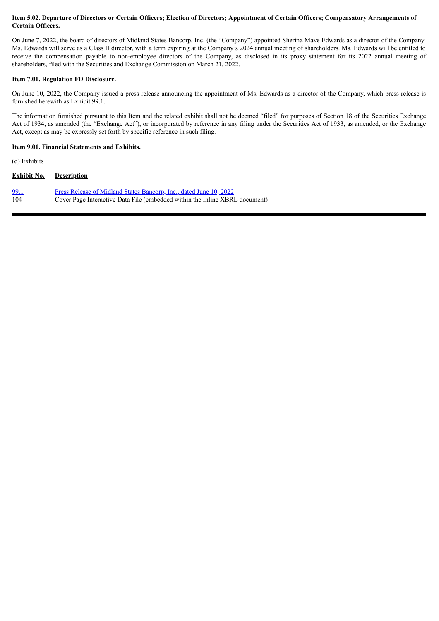#### Item 5.02. Departure of Directors or Certain Officers; Election of Directors; Appointment of Certain Officers; Compensatory Arrangements of **Certain Officers.**

On June 7, 2022, the board of directors of Midland States Bancorp, Inc. (the "Company") appointed Sherina Maye Edwards as a director of the Company. Ms. Edwards will serve as a Class II director, with a term expiring at the Company's 2024 annual meeting of shareholders. Ms. Edwards will be entitled to receive the compensation payable to non-employee directors of the Company, as disclosed in its proxy statement for its 2022 annual meeting of shareholders, filed with the Securities and Exchange Commission on March 21, 2022.

#### **Item 7.01. Regulation FD Disclosure.**

On June 10, 2022, the Company issued a press release announcing the appointment of Ms. Edwards as a director of the Company, which press release is furnished herewith as Exhibit 99.1.

The information furnished pursuant to this Item and the related exhibit shall not be deemed "filed" for purposes of Section 18 of the Securities Exchange Act of 1934, as amended (the "Exchange Act"), or incorporated by reference in any filing under the Securities Act of 1933, as amended, or the Exchange Act, except as may be expressly set forth by specific reference in such filing.

#### **Item 9.01. Financial Statements and Exhibits.**

(d) Exhibits

| <b>Exhibit No.</b> | <b>Description</b>                                                          |
|--------------------|-----------------------------------------------------------------------------|
| <u>99.1</u>        | Press Release of Midland States Bancorp, Inc., dated June 10, 2022          |
| 104                | Cover Page Interactive Data File (embedded within the Inline XBRL document) |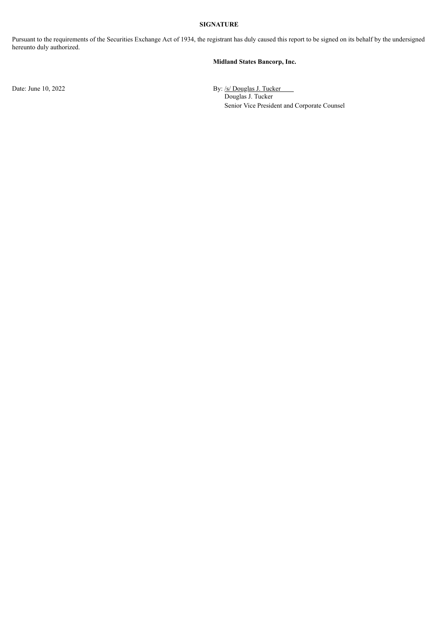### **SIGNATURE**

Pursuant to the requirements of the Securities Exchange Act of 1934, the registrant has duly caused this report to be signed on its behalf by the undersigned hereunto duly authorized.

#### **Midland States Bancorp, Inc.**

Date: June 10, 2022 By: /s/ Douglas J. Tucker Douglas J. Tucker Senior Vice President and Corporate Counsel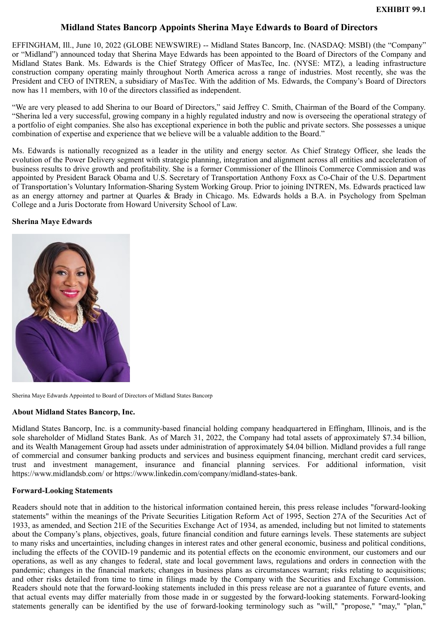# **Midland States Bancorp Appoints Sherina Maye Edwards to Board of Directors**

<span id="page-3-0"></span>EFFINGHAM, Ill., June 10, 2022 (GLOBE NEWSWIRE) -- Midland States Bancorp, Inc. (NASDAQ: MSBI) (the "Company" or "Midland") announced today that Sherina Maye Edwards has been appointed to the Board of Directors of the Company and Midland States Bank. Ms. Edwards is the Chief Strategy Officer of MasTec, Inc. (NYSE: MTZ), a leading infrastructure construction company operating mainly throughout North America across a range of industries. Most recently, she was the President and CEO of INTREN, a subsidiary of MasTec. With the addition of Ms. Edwards, the Company's Board of Directors now has 11 members, with 10 of the directors classified as independent.

"We are very pleased to add Sherina to our Board of Directors," said Jeffrey C. Smith, Chairman of the Board of the Company. "Sherina led a very successful, growing company in a highly regulated industry and now is overseeing the operational strategy of a portfolio of eight companies. She also has exceptional experience in both the public and private sectors. She possesses a unique combination of expertise and experience that we believe will be a valuable addition to the Board."

Ms. Edwards is nationally recognized as a leader in the utility and energy sector. As Chief Strategy Officer, she leads the evolution of the Power Delivery segment with strategic planning, integration and alignment across all entities and acceleration of business results to drive growth and profitability. She is a former Commissioner of the Illinois Commerce Commission and was appointed by President Barack Obama and U.S. Secretary of Transportation Anthony Foxx as Co-Chair of the U.S. Department of Transportation's Voluntary Information-Sharing System Working Group. Prior to joining INTREN, Ms. Edwards practiced law as an energy attorney and partner at Quarles & Brady in Chicago. Ms. Edwards holds a B.A. in Psychology from Spelman College and a Juris Doctorate from Howard University School of Law.

### **Sherina Maye Edwards**



Sherina Maye Edwards Appointed to Board of Directors of Midland States Bancorp

### **About Midland States Bancorp, Inc.**

Midland States Bancorp, Inc. is a community-based financial holding company headquartered in Effingham, Illinois, and is the sole shareholder of Midland States Bank. As of March 31, 2022, the Company had total assets of approximately \$7.34 billion, and its Wealth Management Group had assets under administration of approximately \$4.04 billion. Midland provides a full range of commercial and consumer banking products and services and business equipment financing, merchant credit card services, trust and investment management, insurance and financial planning services. For additional information, visit https://www.midlandsb.com/ or https://www.linkedin.com/company/midland-states-bank.

### **Forward-Looking Statements**

Readers should note that in addition to the historical information contained herein, this press release includes "forward-looking statements" within the meanings of the Private Securities Litigation Reform Act of 1995, Section 27A of the Securities Act of 1933, as amended, and Section 21E of the Securities Exchange Act of 1934, as amended, including but not limited to statements about the Company's plans, objectives, goals, future financial condition and future earnings levels. These statements are subject to many risks and uncertainties, including changes in interest rates and other general economic, business and political conditions, including the effects of the COVID-19 pandemic and its potential effects on the economic environment, our customers and our operations, as well as any changes to federal, state and local government laws, regulations and orders in connection with the pandemic; changes in the financial markets; changes in business plans as circumstances warrant; risks relating to acquisitions; and other risks detailed from time to time in filings made by the Company with the Securities and Exchange Commission. Readers should note that the forward-looking statements included in this press release are not a guarantee of future events, and that actual events may differ materially from those made in or suggested by the forward-looking statements. Forward-looking statements generally can be identified by the use of forward-looking terminology such as "will," "propose," "may," "plan,"